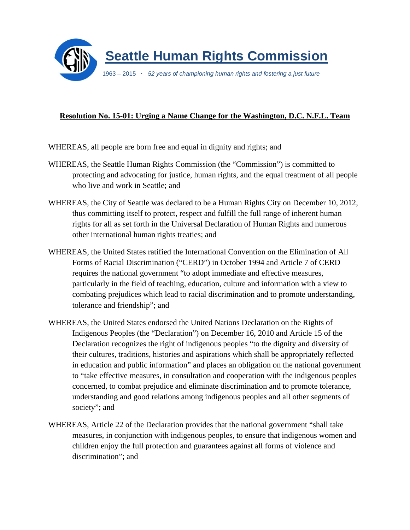

## **Resolution No. 15-01: Urging a Name Change for the Washington, D.C. N.F.L. Team**

WHEREAS, all people are born free and equal in dignity and rights; and

- WHEREAS, the Seattle Human Rights Commission (the "Commission") is committed to protecting and advocating for justice, human rights, and the equal treatment of all people who live and work in Seattle; and
- WHEREAS, the City of Seattle was declared to be a Human Rights City on December 10, 2012, thus committing itself to protect, respect and fulfill the full range of inherent human rights for all as set forth in the Universal Declaration of Human Rights and numerous other international human rights treaties; and
- WHEREAS, the United States ratified the International Convention on the Elimination of All Forms of Racial Discrimination ("CERD") in October 1994 and Article 7 of CERD requires the national government "to adopt immediate and effective measures, particularly in the field of teaching, education, culture and information with a view to combating prejudices which lead to racial discrimination and to promote understanding, tolerance and friendship"; and
- WHEREAS, the United States endorsed the United Nations Declaration on the Rights of Indigenous Peoples (the "Declaration") on December 16, 2010 and Article 15 of the Declaration recognizes the right of indigenous peoples "to the dignity and diversity of their cultures, traditions, histories and aspirations which shall be appropriately reflected in education and public information" and places an obligation on the national government to "take effective measures, in consultation and cooperation with the indigenous peoples concerned, to combat prejudice and eliminate discrimination and to promote tolerance, understanding and good relations among indigenous peoples and all other segments of society"; and
- WHEREAS, Article 22 of the Declaration provides that the national government "shall take measures, in conjunction with indigenous peoples, to ensure that indigenous women and children enjoy the full protection and guarantees against all forms of violence and discrimination"; and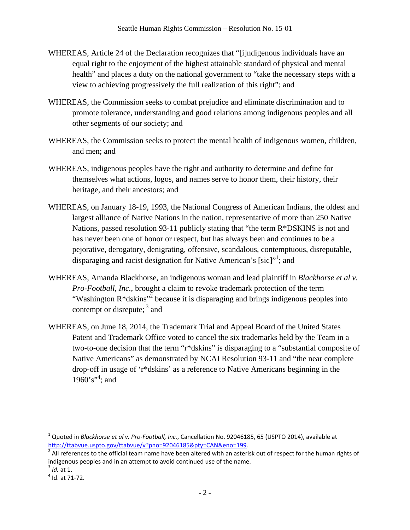- WHEREAS, Article 24 of the Declaration recognizes that "[i]ndigenous individuals have an equal right to the enjoyment of the highest attainable standard of physical and mental health" and places a duty on the national government to "take the necessary steps with a view to achieving progressively the full realization of this right"; and
- WHEREAS, the Commission seeks to combat prejudice and eliminate discrimination and to promote tolerance, understanding and good relations among indigenous peoples and all other segments of our society; and
- WHEREAS, the Commission seeks to protect the mental health of indigenous women, children, and men; and
- WHEREAS, indigenous peoples have the right and authority to determine and define for themselves what actions, logos, and names serve to honor them, their history, their heritage, and their ancestors; and
- WHEREAS, on January 18-19, 1993, the National Congress of American Indians, the oldest and largest alliance of Native Nations in the nation, representative of more than 250 Native Nations, passed resolution 93-11 publicly stating that "the term R\*DSKINS is not and has never been one of honor or respect, but has always been and continues to be a pejorative, derogatory, denigrating, offensive, scandalous, contemptuous, disreputable, disparaging and racist designation for Native American's [sic]"<sup>1</sup>; and
- WHEREAS, Amanda Blackhorse, an indigenous woman and lead plaintiff in *Blackhorse et al v. Pro-Football, Inc.*, brought a claim to revoke trademark protection of the term "Washington R\*dskins"<sup>2</sup> because it is disparaging and brings indigenous peoples into contempt or disrepute;  $3$  and
- WHEREAS, on June 18, 2014, the Trademark Trial and Appeal Board of the United States Patent and Trademark Office voted to cancel the six trademarks held by the Team in a two-to-one decision that the term "r\*dskins" is disparaging to a "substantial composite of Native Americans" as demonstrated by NCAI Resolution 93-11 and "the near complete drop-off in usage of 'r\*dskins' as a reference to Native Americans beginning in the  $1960's$ <sup>\*\*</sup>; and

<sup>&</sup>lt;sup>1</sup> Quoted in *Blackhorse et al v. Pro-Football, Inc.*, Cancellation No. 92046185, 65 (USPTO 2014), available at http://ttabvue.uspto.gov/ttabvue/v?pno=92046185&pty=CAN&eno=199.

 $^2$  All references to the official team name have been altered with an asterisk out of respect for the human rights of indigenous peoples and in an attempt to avoid continued use of the name.<br><sup>3</sup> *Id.* at 1.<br><sup>4</sup> Id. at 71-72.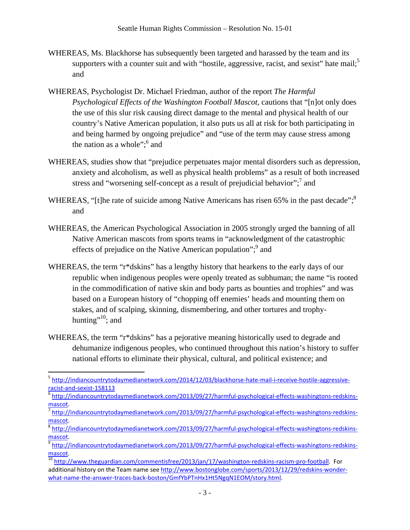- WHEREAS, Ms. Blackhorse has subsequently been targeted and harassed by the team and its supporters with a counter suit and with "hostile, aggressive, racist, and sexist" hate mail;<sup>5</sup> and
- WHEREAS, Psychologist Dr. Michael Friedman, author of the report *The Harmful Psychological Effects of the Washington Football Mascot*, cautions that "[n]ot only does the use of this slur risk causing direct damage to the mental and physical health of our country's Native American population, it also puts us all at risk for both participating in and being harmed by ongoing prejudice" and "use of the term may cause stress among the nation as a whole";  $6$  and
- WHEREAS, studies show that "prejudice perpetuates major mental disorders such as depression, anxiety and alcoholism, as well as physical health problems" as a result of both increased stress and "worsening self-concept as a result of prejudicial behavior";<sup>7</sup> and
- WHEREAS, "[t]he rate of suicide among Native Americans has risen 65% in the past decade";<sup>8</sup> and
- WHEREAS, the American Psychological Association in 2005 strongly urged the banning of all Native American mascots from sports teams in "acknowledgment of the catastrophic effects of prejudice on the Native American population";<sup>9</sup> and
- WHEREAS, the term "r\*dskins" has a lengthy history that hearkens to the early days of our republic when indigenous peoples were openly treated as subhuman; the name "is rooted in the commodification of native skin and body parts as bounties and trophies" and was based on a European history of "chopping off enemies' heads and mounting them on stakes, and of scalping, skinning, dismembering, and other tortures and trophyhunting"<sup>10</sup>; and
- WHEREAS, the term "r<sup>\*</sup>dskins" has a pejorative meaning historically used to degrade and dehumanize indigenous peoples, who continued throughout this nation's history to suffer national efforts to eliminate their physical, cultural, and political existence; and

<sup>5</sup> http://indiancountrytodaymedianetwork.com/2014/12/03/blackhorse-hate-mail-i-receive-hostile-aggressive-<br>racist-and-sexist-158113

<sup>&</sup>lt;sup>6</sup> http://indiancountrytodaymedianetwork.com/2013/09/27/harmful-psychological-effects-washingtons-redskinsmascot.<br><sup>7</sup> http://indiancountrytodaymedianetwork.com/2013/09/27/harmful-psychological-effects-washingtons-redskins-

mascot.<br><sup>8</sup> http://indiancountrytodaymedianetwork.<u>com/2013/09/27/harmful-psychological-effects-washingtons-redskins-</u>

mascot.<br><sup>9</sup> http://indiancountrytodaymedianetwork.com/2013/09/27/harmful‐psychological‐effects‐washingtons‐redskins‐

mascot.<br><sup>10</sup> http://www.theguardian.com/commentisfree/2013/jan/17/washington-redskins-racism-pro-football. For

additional history on the Team name see http://www.bostonglobe.com/sports/2013/12/29/redskins-wonderwhat-name-the-answer-traces-back-boston/GmfYbPTnHx1Ht5NgqN1EOM/story.html.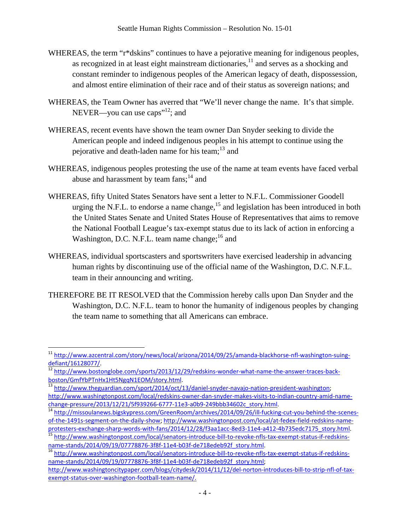- WHEREAS, the term "r\*dskins" continues to have a pejorative meaning for indigenous peoples, as recognized in at least eight mainstream dictionaries, $11$  and serves as a shocking and constant reminder to indigenous peoples of the American legacy of death, dispossession, and almost entire elimination of their race and of their status as sovereign nations; and
- WHEREAS, the Team Owner has averred that "We'll never change the name. It's that simple. NEVER—you can use caps<sup> $12$ </sup>; and
- WHEREAS, recent events have shown the team owner Dan Snyder seeking to divide the American people and indeed indigenous peoples in his attempt to continue using the pejorative and death-laden name for his team; $^{13}$  and
- WHEREAS, indigenous peoples protesting the use of the name at team events have faced verbal abuse and harassment by team  $fans;^{14}$  and
- WHEREAS, fifty United States Senators have sent a letter to N.F.L. Commissioner Goodell urging the N.F.L. to endorse a name change,<sup>15</sup> and legislation has been introduced in both the United States Senate and United States House of Representatives that aims to remove the National Football League's tax-exempt status due to its lack of action in enforcing a Washington, D.C. N.F.L. team name change;<sup>16</sup> and
- WHEREAS, individual sportscasters and sportswriters have exercised leadership in advancing human rights by discontinuing use of the official name of the Washington, D.C. N.F.L. team in their announcing and writing.
- THEREFORE BE IT RESOLVED that the Commission hereby calls upon Dan Snyder and the Washington, D.C. N.F.L. team to honor the humanity of indigenous peoples by changing the team name to something that all Americans can embrace.

<sup>&</sup>lt;sup>11</sup> http://www.azcentral.com/story/news/local/arizona/2014/09/25/amanda-blackhorse-nfl-washington-suing-<br>defiant/16128077/.

<sup>12&</sup>lt;br>http://www.bostonglobe.com/sports/2013/12/29/redskins-wonder-what-name-the-answer-traces-back-<br>boston/GmfYbPTnHx1Ht5NgqN1EOM/story.html.

<sup>&</sup>lt;sup>13</sup> http://www.theguardian.com/sport/2014/oct/13/daniel‐snyder‐navajo‐nation‐president‐washington; http://www.washingtonpost.com/local/redskins-owner-dan-snyder-makes-visits-to-indian-country-amid-name-

change-pressure/2013/12/21/5f939266‐6777‐11e3‐a0b9‐249bbb34602c\_story.html.<br><sup>14</sup> http://missoulanews.bigskypress.com/GreenRoom/archives/2014/09/26/ill‐fucking‐cut‐you‐behind‐the‐scenes‐ of-the-1491s-segment-on-the-daily-show; http://www.washingtonpost.com/local/at-fedex-field-redskins-name-

protesters‐exchange‐sharp‐words‐with‐fans/2014/12/28/f3aa1acc‐8ed3‐11e4‐a412‐4b735edc7175\_story.html.<br>
<sup>15</sup> http://www.washingtonpost.com/local/senators‐introduce‐bill‐to‐revoke‐nfls‐tax‐exempt‐status‐if‐redskins‐<br>
name‐st

<sup>16</sup> http://www.washingtonpost.com/local/senators-introduce-bill-to-revoke-nfls-tax-exempt-status-if-redskinsname‐stands/2014/09/19/07778876‐3f8f‐11e4‐b03f‐de718edeb92f\_story.html;

http://www.washingtoncitypaper.com/blogs/citydesk/2014/11/12/del-norton-introduces-bill-to-strip-nfl-of-taxexempt‐status‐over‐washington‐football‐team‐name/.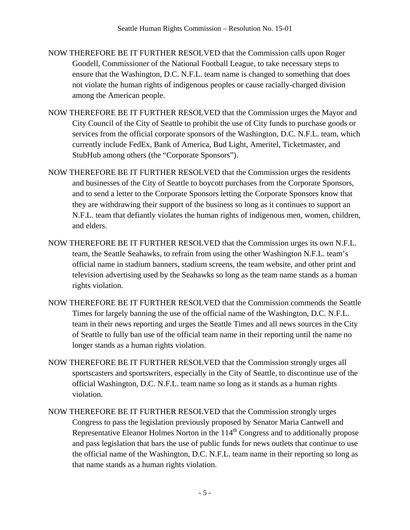- NOW THEREFORE BE IT FURTHER RESOLVED that the Commission calls upon Roger Goodell, Commissioner of the National Football League, to take necessary steps to ensure that the Washington, D.C. N.F.L. team name is changed to something that does not violate the human rights of indigenous peoples or cause racially-charged division among the American people.
- NOW THEREFORE BE IT FURTHER RESOLVED that the Commission urges the Mayor and City Council of the City of Seattle to prohibit the use of City funds to purchase goods or services from the official corporate sponsors of the Washington, D.C. N.F.L. team, which currently include FedEx, Bank of America, Bud Light, Ameritel, Ticketmaster, and StubHub among others (the "Corporate Sponsors").
- NOW THEREFORE BE IT FURTHER RESOLVED that the Commission urges the residents and businesses of the City of Seattle to boycott purchases from the Corporate Sponsors, and to send a letter to the Corporate Sponsors letting the Corporate Sponsors know that they are withdrawing their support of the business so long as it continues to support an N.F.L. team that defiantly violates the human rights of indigenous men, women, children, and elders.
- NOW THEREFORE BE IT FURTHER RESOLVED that the Commission urges its own N.F.L. team, the Seattle Seahawks, to refrain from using the other Washington N.F.L. team's official name in stadium banners, stadium screens, the team website, and other print and television advertising used by the Seahawks so long as the team name stands as a human rights violation.
- NOW THEREFORE BE IT FURTHER RESOLVED that the Commission commends the Seattle Times for largely banning the use of the official name of the Washington, D.C. N.F.L. team in their news reporting and urges the Seattle Times and all news sources in the City of Seattle to fully ban use of the official team name in their reporting until the name no longer stands as a human rights violation.
- NOW THEREFORE BE IT FURTHER RESOLVED that the Commission strongly urges all sportscasters and sportswriters, especially in the City of Seattle, to discontinue use of the official Washington, D.C. N.F.L. team name so long as it stands as a human rights violation.
- NOW THEREFORE BE IT FURTHER RESOLVED that the Commission strongly urges Congress to pass the legislation previously proposed by Senator Maria Cantwell and Representative Eleanor Holmes Norton in the 114<sup>th</sup> Congress and to additionally propose and pass legislation that bars the use of public funds for news outlets that continue to use the official name of the Washington, D.C. N.F.L. team name in their reporting so long as that name stands as a human rights violation.